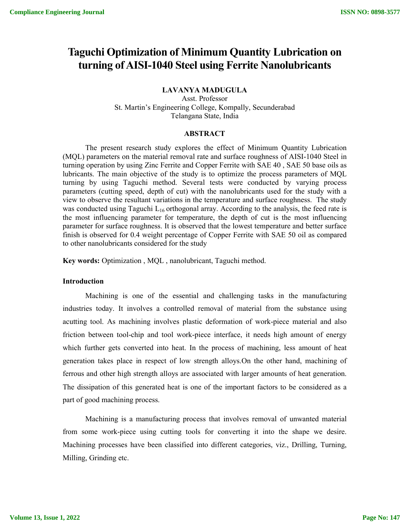# **Taguchi Optimization of Minimum Quantity Lubrication on turning of AISI-1040 Steel using Ferrite Nanolubricants**

**LAVANYA MADUGULA**

Asst. Professor St. Martin's Engineering College, Kompally, Secunderabad Telangana State, India

## **ABSTRACT**

The present research study explores the effect of Minimum Quantity Lubrication (MQL) parameters on the material removal rate and surface roughness of AISI-1040 Steel in turning operation by using Zinc Ferrite and Copper Ferrite with SAE 40 , SAE 50 base oils as lubricants. The main objective of the study is to optimize the process parameters of MQL turning by using Taguchi method. Several tests were conducted by varying process parameters (cutting speed, depth of cut) with the nanolubricants used for the study with a view to observe the resultant variations in the temperature and surface roughness. The study was conducted using Taguchi  $L_{16}$  orthogonal array. According to the analysis, the feed rate is the most influencing parameter for temperature, the depth of cut is the most influencing parameter for surface roughness. It is observed that the lowest temperature and better surface finish is observed for 0.4 weight percentage of Copper Ferrite with SAE 50 oil as compared to other nanolubricants considered for the study

**Key words:** Optimization , MQL , nanolubricant, Taguchi method.

#### **Introduction**

Machining is one of the essential and challenging tasks in the manufacturing industries today. It involves a controlled removal of material from the substance using acutting tool. As machining involves plastic deformation of work-piece material and also friction between tool-chip and tool work-piece interface, it needs high amount of energy which further gets converted into heat. In the process of machining, less amount of heat generation takes place in respect of low strength alloys.On the other hand, machining of ferrous and other high strength alloys are associated with larger amounts of heat generation. The dissipation of this generated heat is one of the important factors to be considered as a part of good machining process.

Machining is a manufacturing process that involves removal of unwanted material from some work-piece using cutting tools for converting it into the shape we desire. Machining processes have been classified into different categories, viz., Drilling, Turning, Milling, Grinding etc.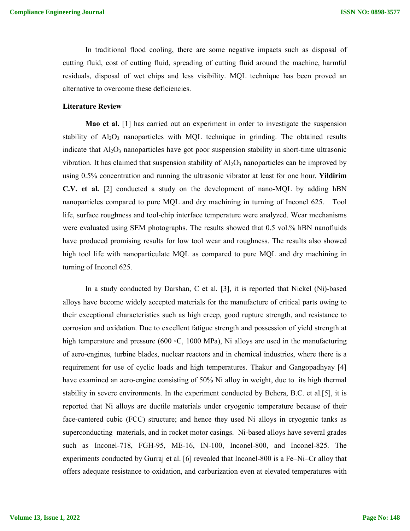In traditional flood cooling, there are some negative impacts such as disposal of cutting fluid, cost of cutting fluid, spreading of cutting fluid around the machine, harmful residuals, disposal of wet chips and less visibility. MQL technique has been proved an alternative to overcome these deficiencies.

#### **Literature Review**

**Mao et al.** [1] has carried out an experiment in order to investigate the suspension stability of  $A<sub>12</sub>O<sub>3</sub>$  nanoparticles with MQL technique in grinding. The obtained results indicate that  $Al_2O_3$  nanoparticles have got poor suspension stability in short-time ultrasonic vibration. It has claimed that suspension stability of  $A\ell_2O_3$  nanoparticles can be improved by using 0.5% concentration and running the ultrasonic vibrator at least for one hour. **Yildirim C.V. et al.** [2] conducted a study on the development of nano-MQL by adding hBN nanoparticles compared to pure MQL and dry machining in turning of Inconel 625. Tool life, surface roughness and tool-chip interface temperature were analyzed. Wear mechanisms were evaluated using SEM photographs. The results showed that 0.5 vol.% hBN nanofluids have produced promising results for low tool wear and roughness. The results also showed high tool life with nanoparticulate MQL as compared to pure MQL and dry machining in turning of Inconel 625.

In a study conducted by Darshan, C et al. [3], it is reported that Nickel (Ni)-based alloys have become widely accepted materials for the manufacture of critical parts owing to their exceptional characteristics such as high creep, good rupture strength, and resistance to corrosion and oxidation. Due to excellent fatigue strength and possession of yield strength at high temperature and pressure (600 ◦C, 1000 MPa), Ni alloys are used in the manufacturing of aero-engines, turbine blades, nuclear reactors and in chemical industries, where there is a requirement for use of cyclic loads and high temperatures. Thakur and Gangopadhyay [4] have examined an aero-engine consisting of 50% Ni alloy in weight, due to its high thermal stability in severe environments. In the experiment conducted by Behera, B.C. et al.[5], it is reported that Ni alloys are ductile materials under cryogenic temperature because of their face-cantered cubic (FCC) structure; and hence they used Ni alloys in cryogenic tanks as superconducting materials, and in rocket motor casings. Ni-based alloys have several grades such as Inconel-718, FGH-95, ME-16, IN-100, Inconel-800, and Inconel-825. The experiments conducted by Gurraj et al. [6] revealed that Inconel-800 is a Fe–Ni–Cr alloy that offers adequate resistance to oxidation, and carburization even at elevated temperatures with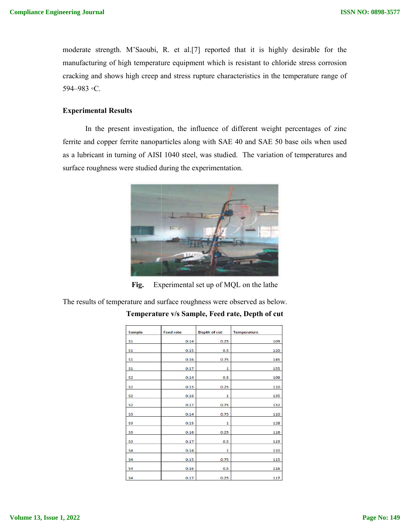moderate strength. M'Saoubi, R. et al.[7] reported that it is highly desirable for the manufacturing of high temperature equipment which is resistant to chloride stress corrosion cracking and shows high creep and stress rupture characteristics in the temperature range of 594–983 ◦C. ISSN NO: 0898-3577<br>
moderate strength. M'Saoubi, R. et al.[7] reported that it is highly desirable for the<br>
manufacturing of high temperature equipment which is resistant to chloride stress corrosion<br>
cracking and shows hi

## **Experimental Results**

In the present investigation, the influence of different weight percentages of zinc ferrite and copper ferrite nanoparticles along with SAE 40 and SAE 50 base oils when used ferrite and copper ferrite nanoparticles along with SAE 40 and SAE 50 base oils when used<br>as a lubricant in turning of AISI 1040 steel, was studied. The variation of temperatures and surface roughness were studied during the experimentation.



Fig. Experimental set up of MQL on the lathe

The results of temperature and surface roughness were observed as below.

| Sample         | <b>Feed rate</b> | <b>Depth of cut</b> | <b>Temperature</b> |
|----------------|------------------|---------------------|--------------------|
| S <sub>1</sub> | 0.14             | 0.25                | 109                |
| S <sub>1</sub> | 0.15             | 0.5                 | 120                |
| S <sub>1</sub> | 0.16             | 0.75                | 145                |
| S <sub>1</sub> | 0.17             | 1                   | 155                |
| S <sub>2</sub> | 0.14             | 0.5                 | 109                |
| S <sub>2</sub> | 0.15             | 0.25                | 110                |
| S <sub>2</sub> | 0.16             | 1                   | 135                |
| S <sub>2</sub> | 0.17             | 0.75                | 132                |
| S <sub>3</sub> | 0.14             | 0.75                | 110                |
| S3             | 0.15             | 1                   | 128                |
| S <sub>3</sub> | 0.16             | 0.25                | 116                |
| S <sub>3</sub> | 0.17             | 0.5                 | 119                |
| S <sub>4</sub> | 0.14             | ı                   | 110                |
| S <sub>4</sub> | 0.15             | 0.75                | 115                |
| S <sub>4</sub> | 0.16             | 0.5                 | 116                |
| <b>S4</b>      | 0.17             | 0.25                | 117                |

**Temperature v v/s Sample, Feed rate, Depth of cut**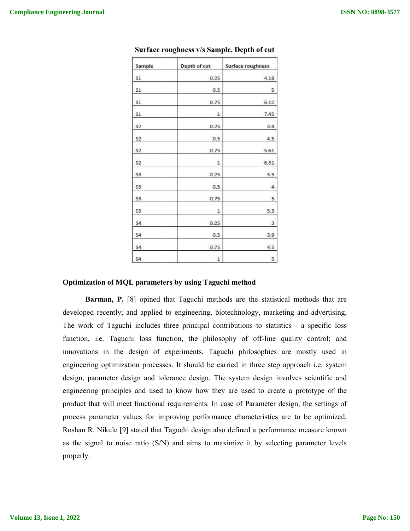| Sample         | Depth of cut | <b>Surface roughness</b> |  |
|----------------|--------------|--------------------------|--|
| S <sub>1</sub> | 0.25         | 4.18                     |  |
| S <sub>1</sub> | 0.5          | 5                        |  |
| S <sub>1</sub> | 0.75         | 6.12                     |  |
| S1             | $\mathbf{1}$ | 7.45                     |  |
| S <sub>2</sub> | 0.25         | 3.8                      |  |
| <b>S2</b>      | 0.5          | 4.5                      |  |
| S2             | 0.75         | 5.61                     |  |
| <b>S2</b>      | 1            | 6.31                     |  |
| S <sub>3</sub> | 0.25         | 3.5                      |  |
| S <sub>3</sub> | 0.5          | 4                        |  |
| S <sub>3</sub> | 0.75         | 5                        |  |
| S3             | 1            | 5.3                      |  |
| S <sub>4</sub> | 0.25         | 3                        |  |
| S <sub>4</sub> | 0.5          | 3.9                      |  |
| S <sub>4</sub> | 0.75         | 4.5                      |  |
| S <sub>4</sub> | 1            | 5                        |  |

Surface roughness **v/s Sample, Depth of cut** 

## **Optimization of MQL parameters by using Taguchi method parameters**

**Barman, P.** [8] opined that Taguchi methods are the statistical methods that are developed recently; and applied to engineering, biotechnology, marketing and advertising. developed recently; and applied to engineering, biotechnology, marketing and advertising.<br>The work of Taguchi includes three principal contributions to statistics - a specific loss function, i.e. Taguchi loss function, the philosophy of off-line quality control; and innovations in the design of experiments. Taguchi philosophies are mostly used in engineering optimization processes. It should be carried in three step approach i.e. system design, parameter design and tolerance design. The system design involves scientific and engineering principles and used to know how they are used to create a prototype of the product that will meet functional requirements. In case of Parameter design, the settings of process parameter values for improving performance characteristics are to be opti Roshan R. Nikule [9] stated that Taguchi design also defined a performance measure known as the signal to noise ratio (S/N) and aims to maximize it by selecting parameter levels properly. principal contributions to statistics - a specific loss<br>the philosophy of off-line quality control; and<br>ments. Taguchi philosophies are mostly used in<br>should be carried in three step approach i.e. system<br>e design. The syst ISSN NO: 0898-3577<br> **a**<br> **Solution**<br> **Also a**<br> **Example System Section**<br> **ALSO 35**<br> **ALSO 35**<br> **ALSO 36**<br> **ALSO 36**<br> **ALSO 36**<br> **ALSO 36**<br> **ALSO 36**<br> **ALSO 36**<br> **ALSO 4**<br> **EXA 36**<br> **ALSO 36**<br> **ALSO 4**<br> **EXA 36**<br> **EXA 36**<br>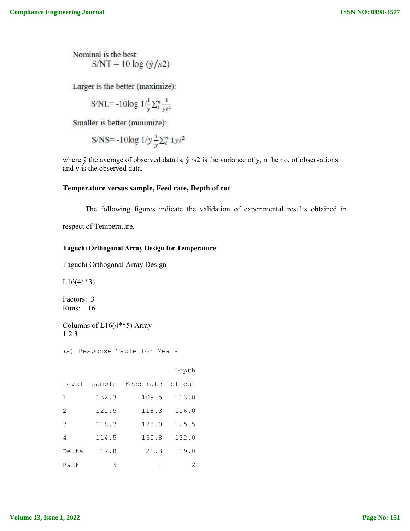## **Temperature versus sample, Feed rate, Depth of cut**

#### **Taguchi Orthogonal Array Design for Temperature**

| eering Journal         |                              |                                                        |            | <b>ISSN NO: 0898-3577</b>                                                                                      |
|------------------------|------------------------------|--------------------------------------------------------|------------|----------------------------------------------------------------------------------------------------------------|
|                        | Nominal is the best:         | $S/NT = 10 \log(\frac{\hat{y}}{s^2})$                  |            |                                                                                                                |
|                        |                              | Larger is the better (maximize):                       |            |                                                                                                                |
|                        |                              | S/NL=-10log $1/\frac{1}{v}\sum_{i}^{n}\frac{1}{vi^2}$  |            |                                                                                                                |
|                        |                              |                                                        |            |                                                                                                                |
|                        |                              | Smaller is better (minimize):                          |            |                                                                                                                |
|                        |                              | S/NS= -10log $1/y \frac{1}{v} \sum_{i=1}^{n} 1yi^2$    |            |                                                                                                                |
|                        | and y is the observed data.  |                                                        |            | where $\hat{y}$ the average of observed data is, $\hat{y}$ /s2 is the variance of y, n the no. of observations |
|                        |                              | Temperature versus sample, Feed rate, Depth of cut     |            |                                                                                                                |
|                        |                              |                                                        |            | The following figures indicate the validation of experimental results obtained in                              |
|                        | respect of Temperature.      |                                                        |            |                                                                                                                |
|                        |                              | <b>Taguchi Orthogonal Array Design for Temperature</b> |            |                                                                                                                |
|                        |                              | Taguchi Orthogonal Array Design                        |            |                                                                                                                |
| $L16(4**3)$            |                              |                                                        |            |                                                                                                                |
| Factors: 3<br>Runs: 16 |                              |                                                        |            |                                                                                                                |
| 123                    | Columns of $L16(4**5)$ Array |                                                        |            |                                                                                                                |
|                        |                              | (a) Response Table for Means                           |            |                                                                                                                |
|                        |                              |                                                        | Depth      |                                                                                                                |
| Level                  |                              | sample Feed rate                                       | of cut     |                                                                                                                |
| $\mathbf 1$            | 132.3                        | 109.5                                                  | 113.0      |                                                                                                                |
| 2                      | 121.5                        | 118.3                                                  | 116.0      |                                                                                                                |
| 3                      | 118.3                        | 128.0                                                  | 125.5      |                                                                                                                |
| 4                      | 114.5                        | 130.8                                                  | 132.0      |                                                                                                                |
| Delta                  | 17.8                         | 21.3                                                   | 19.0       |                                                                                                                |
| Rank                   | $\mathfrak{Z}$               | 1                                                      | $\sqrt{2}$ |                                                                                                                |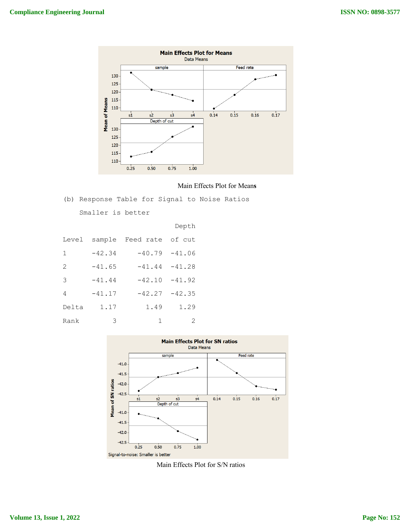

#### Main Effects Plot for Mean**s**

(b) Response Table for Signal to Noise Ratios

Smaller is better

|       |          |                         | Depth            |
|-------|----------|-------------------------|------------------|
| Level |          | sample Feed rate of cut |                  |
| 1     | $-42.34$ |                         | $-40.79 - 41.06$ |
| 2     | $-41.65$ | $-41.44 - 41.28$        |                  |
| 3     | $-41.44$ | $-42.10$                | $-41.92$         |
| 4     | $-41.17$ | $-42.27$                | $-42.35$         |
| Delta | 1.17     | 1.49                    | 1.29             |
| Rank  | 3        | 1                       | 2                |



Main Effects Plot for S/N ratios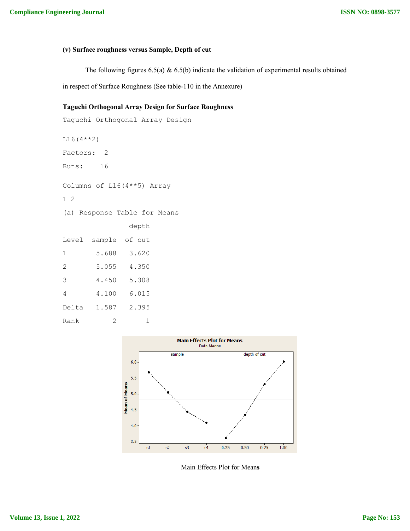## **(v) Surface roughness versus Sample, Depth of cut**

The following figures 6.5(a) & 6.5(b) indicate the validation of experimental results obtained

in respect of Surface Roughness (See table-110 in the Annexure)

## **Taguchi Orthogonal Array Design for Surface Roughness**

```
Taguchi Orthogonal Array Design
L16(4**2)
Factors: 2
Runs: 16
Columns of L16(4**5) Array
1 2
(a) Response Table for Means
              depth
Level sample of cut
1 5.688 3.620
2 5.055 4.350
3 4.450 5.308
4 4.100 6.015
Delta 1.587 2.395
Rank 2 1
```


Main Effects Plot for Mean**s**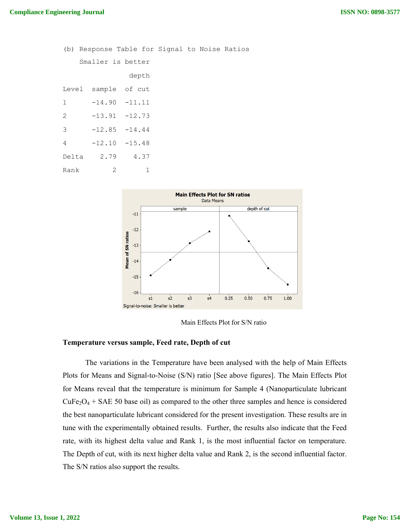(b) Response Table for Signal to Noise Ratios Smaller is better depth Level sample of cut 1 -14.90 -11.11 2 -13.91 -12.73  $3 -12.85 -14.44$ 4 -12.10 -15.48 Delta 2.79 4.37 Rank 2 1



Main Effects Plot for S/N ratio

## **Temperature versus sample, Feed rate, Depth of cut**

The variations in the Temperature have been analysed with the help of Main Effects Plots for Means and Signal-to-Noise (S/N) ratio [See above figures]. The Main Effects Plot for Means reveal that the temperature is minimum for Sample 4 (Nanoparticulate lubricant  $CuFe<sub>2</sub>O<sub>4</sub> + SAE 50$  base oil) as compared to the other three samples and hence is considered the best nanoparticulate lubricant considered for the present investigation. These results are in tune with the experimentally obtained results. Further, the results also indicate that the Feed rate, with its highest delta value and Rank 1, is the most influential factor on temperature. The Depth of cut, with its next higher delta value and Rank 2, is the second influential factor. The S/N ratios also support the results.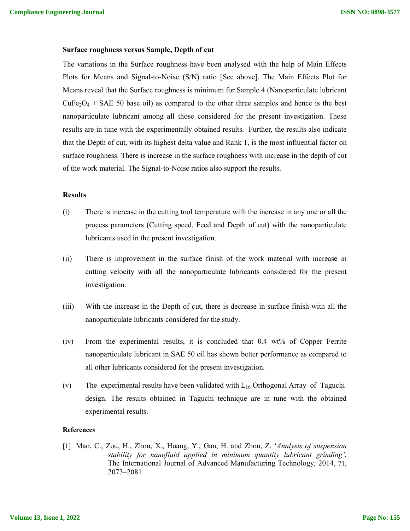## **Surface roughness versus Sample, Depth of cut**

The variations in the Surface roughness have been analysed with the help of Main Effects Plots for Means and Signal-to-Noise (S/N) ratio [See above]. The Main Effects Plot for Means reveal that the Surface roughness is minimum for Sample 4 (Nanoparticulate lubricant  $CuFe<sub>2</sub>O<sub>4</sub> + SAE 50$  base oil) as compared to the other three samples and hence is the best nanoparticulate lubricant among all those considered for the present investigation. These results are in tune with the experimentally obtained results. Further, the results also indicate that the Depth of cut, with its highest delta value and Rank 1, is the most influential factor on surface roughness. There is increase in the surface roughness with increase in the depth of cut of the work material. The Signal-to-Noise ratios also support the results.

#### **Results**

- (i) There is increase in the cutting tool temperature with the increase in any one or all the process parameters (Cutting speed, Feed and Depth of cut) with the nanoparticulate lubricants used in the present investigation.
- (ii) There is improvement in the surface finish of the work material with increase in cutting velocity with all the nanoparticulate lubricants considered for the present investigation.
- (iii) With the increase in the Depth of cut, there is decrease in surface finish with all the nanoparticulate lubricants considered for the study.
- (iv) From the experimental results, it is concluded that 0.4 wt% of Copper Ferrite nanoparticulate lubricant in SAE 50 oil has shown better performance as compared to all other lubricants considered for the present investigation.
- (v) The experimental results have been validated with  $L_{16}$  Orthogonal Array of Taguchi design. The results obtained in Taguchi technique are in tune with the obtained experimental results.

#### **References**

[1] Mao, C., Zou, H., Zhou, X., Huang, Y., Gan, H. and Zhou, Z. '*Analysis of suspension stability for nanofluid applied in minimum quantity lubricant grinding'*. The International Journal of Advanced Manufacturing Technology, 2014, 71, 2073–2081.